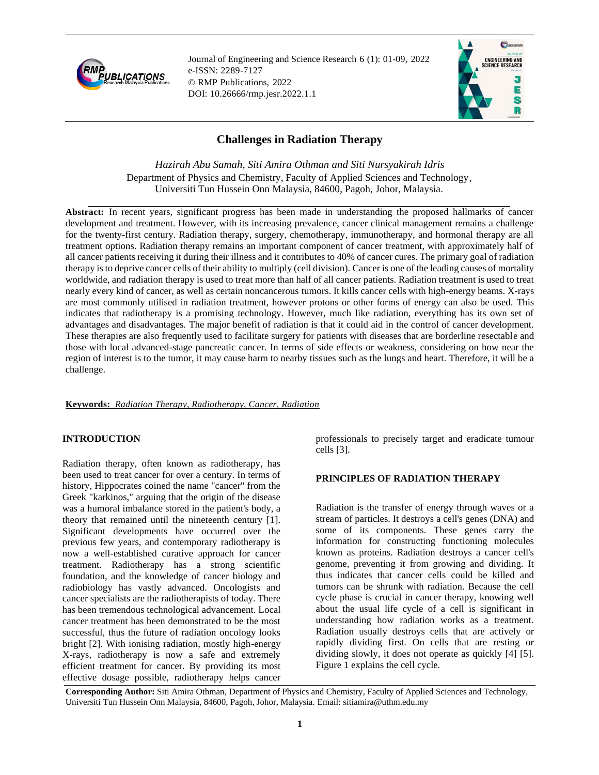

Journal of Engineering and Science Research 6 (1): 01-09, 2022 e-ISSN: 2289-7127 © RMP Publications, 2022 DOI: 10.26666/rmp.jesr.2022.1.1



# **Challenges in Radiation Therapy**

*Hazirah Abu Samah, Siti Amira Othman and Siti Nursyakirah Idris* Department of Physics and Chemistry, Faculty of Applied Sciences and Technology, Universiti Tun Hussein Onn Malaysia, 84600, Pagoh, Johor, Malaysia.

**Abstract:** In recent years, significant progress has been made in understanding the proposed hallmarks of cancer development and treatment. However, with its increasing prevalence, cancer clinical management remains a challenge for the twenty-first century. Radiation therapy, surgery, chemotherapy, immunotherapy, and hormonal therapy are all treatment options. Radiation therapy remains an important component of cancer treatment, with approximately half of all cancer patients receiving it during their illness and it contributes to 40% of cancer cures. The primary goal of radiation therapy is to deprive cancer cells of their ability to multiply (cell division). Cancer is one of the leading causes of mortality worldwide, and radiation therapy is used to treat more than half of all cancer patients. Radiation treatment is used to treat nearly every kind of cancer, as well as certain noncancerous tumors. It kills cancer cells with high-energy beams. X-rays are most commonly utilised in radiation treatment, however protons or other forms of energy can also be used. This indicates that radiotherapy is a promising technology. However, much like radiation, everything has its own set of advantages and disadvantages. The major benefit of radiation is that it could aid in the control of cancer development. These therapies are also frequently used to facilitate surgery for patients with diseases that are borderline resectable and those with local advanced-stage pancreatic cancer. In terms of side effects or weakness, considering on how near the region of interest is to the tumor, it may cause harm to nearby tissues such as the lungs and heart. Therefore, it will be a challenge.

### **Keywords:** *Radiation Therapy, Radiotherapy, Cancer, Radiation*

### **INTRODUCTION**

Radiation therapy, often known as radiotherapy, has been used to treat cancer for over a century. In terms of history, Hippocrates coined the name "cancer" from the Greek "karkinos," arguing that the origin of the disease was a humoral imbalance stored in the patient's body, a theory that remained until the nineteenth century [1]. Significant developments have occurred over the previous few years, and contemporary radiotherapy is now a well-established curative approach for cancer treatment. Radiotherapy has a strong scientific foundation, and the knowledge of cancer biology and radiobiology has vastly advanced. Oncologists and cancer specialists are the radiotherapists of today. There has been tremendous technological advancement. Local cancer treatment has been demonstrated to be the most successful, thus the future of radiation oncology looks bright [2]. With ionising radiation, mostly high-energy X-rays, radiotherapy is now a safe and extremely efficient treatment for cancer. By providing its most effective dosage possible, radiotherapy helps cancer professionals to precisely target and eradicate tumour cells [3].

### **PRINCIPLES OF RADIATION THERAPY**

Radiation is the transfer of energy through waves or a stream of particles. It destroys a cell's genes (DNA) and some of its components. These genes carry the information for constructing functioning molecules known as proteins. Radiation destroys a cancer cell's genome, preventing it from growing and dividing. It thus indicates that cancer cells could be killed and tumors can be shrunk with radiation. Because the cell cycle phase is crucial in cancer therapy, knowing well about the usual life cycle of a cell is significant in understanding how radiation works as a treatment. Radiation usually destroys cells that are actively or rapidly dividing first. On cells that are resting or dividing slowly, it does not operate as quickly [4] [5]. Figure 1 explains the cell cycle.

**Corresponding Author:** Siti Amira Othman, Department of Physics and Chemistry, Faculty of Applied Sciences and Technology, Universiti Tun Hussein Onn Malaysia, 84600, Pagoh, Johor, Malaysia. Email: sitiamira@uthm.edu.my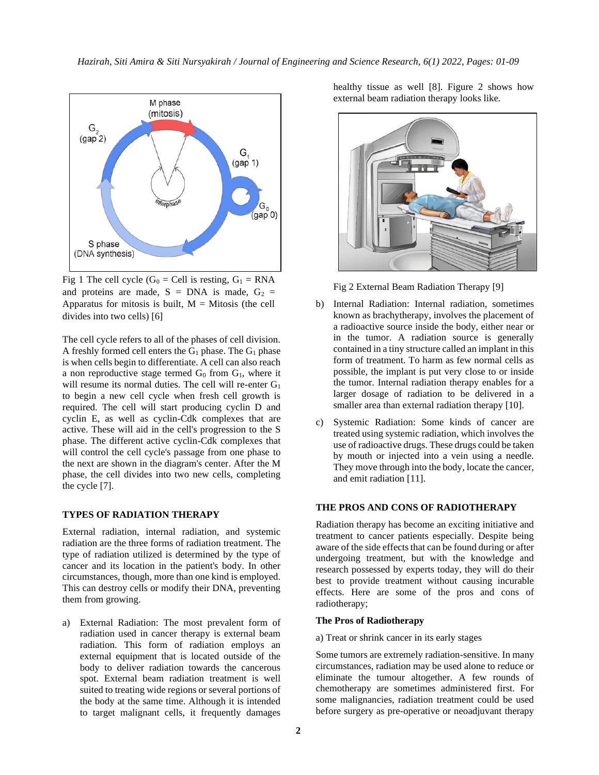

Fig 1 The cell cycle ( $G_0 =$  Cell is resting,  $G_1 =$  RNA and proteins are made,  $S = DNA$  is made,  $G_2 =$ Apparatus for mitosis is built,  $M =$  Mitosis (the cell divides into two cells) [6]

The cell cycle refers to all of the phases of cell division. A freshly formed cell enters the  $G_1$  phase. The  $G_1$  phase is when cells begin to differentiate. A cell can also reach a non reproductive stage termed  $G_0$  from  $G_1$ , where it will resume its normal duties. The cell will re-enter  $G_1$ to begin a new cell cycle when fresh cell growth is required. The cell will start producing cyclin D and cyclin E, as well as cyclin-Cdk complexes that are active. These will aid in the cell's progression to the S phase. The different active cyclin-Cdk complexes that will control the cell cycle's passage from one phase to the next are shown in the diagram's center. After the M phase, the cell divides into two new cells, completing the cycle [7].

#### **TYPES OF RADIATION THERAPY**

External radiation, internal radiation, and systemic radiation are the three forms of radiation treatment. The type of radiation utilized is determined by the type of cancer and its location in the patient's body. In other circumstances, though, more than one kind is employed. This can destroy cells or modify their DNA, preventing them from growing.

a) External Radiation: The most prevalent form of radiation used in cancer therapy is external beam radiation. This form of radiation employs an external equipment that is located outside of the body to deliver radiation towards the cancerous spot. External beam radiation treatment is well suited to treating wide regions or several portions of the body at the same time. Although it is intended to target malignant cells, it frequently damages healthy tissue as well [8]. Figure 2 shows how external beam radiation therapy looks like.



Fig 2 External Beam Radiation Therapy [9]

- b) Internal Radiation: Internal radiation, sometimes known as brachytherapy, involves the placement of a radioactive source inside the body, either near or in the tumor. A radiation source is generally contained in a tiny structure called an implant in this form of treatment. To harm as few normal cells as possible, the implant is put very close to or inside the tumor. Internal radiation therapy enables for a larger dosage of radiation to be delivered in a smaller area than external radiation therapy [10].
- c) Systemic Radiation: Some kinds of cancer are treated using systemic radiation, which involves the use of radioactive drugs. These drugs could be taken by mouth or injected into a vein using a needle. They move through into the body, locate the cancer, and emit radiation [11].

#### **THE PROS AND CONS OF RADIOTHERAPY**

Radiation therapy has become an exciting initiative and treatment to cancer patients especially. Despite being aware of the side effects that can be found during or after undergoing treatment, but with the knowledge and research possessed by experts today, they will do their best to provide treatment without causing incurable effects. Here are some of the pros and cons of radiotherapy;

#### **The Pros of Radiotherapy**

a) Treat or shrink cancer in its early stages

Some tumors are extremely radiation-sensitive. In many circumstances, radiation may be used alone to reduce or eliminate the tumour altogether. A few rounds of chemotherapy are sometimes administered first. For some malignancies, radiation treatment could be used before surgery as pre-operative or neoadjuvant therapy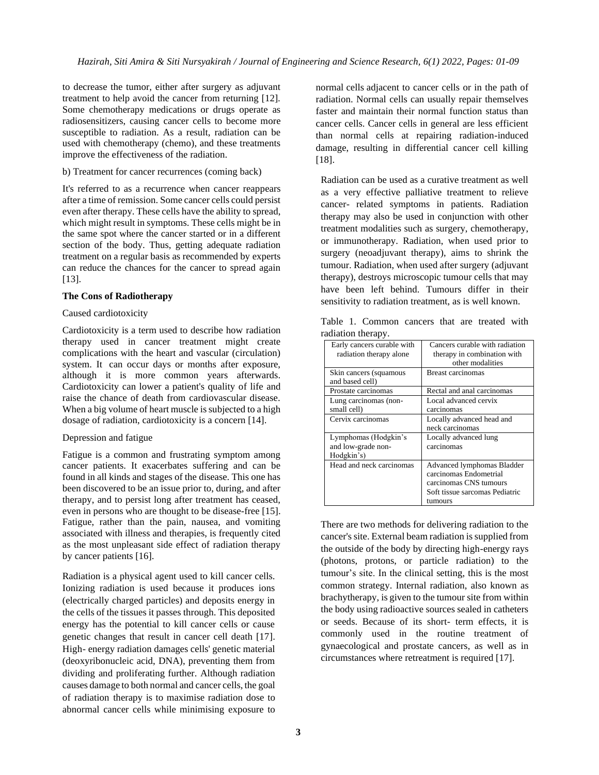to decrease the tumor, either after surgery as adjuvant treatment to help avoid the cancer from returning [12]. Some chemotherapy medications or drugs operate as radiosensitizers, causing cancer cells to become more susceptible to radiation. As a result, radiation can be used with chemotherapy (chemo), and these treatments improve the effectiveness of the radiation.

b) Treatment for cancer recurrences (coming back)

It's referred to as a recurrence when cancer reappears after a time of remission. Some cancer cells could persist even after therapy. These cells have the ability to spread, which might result in symptoms. These cells might be in the same spot where the cancer started or in a different section of the body. Thus, getting adequate radiation treatment on a regular basis as recommended by experts can reduce the chances for the cancer to spread again [13].

#### **The Cons of Radiotherapy**

#### Caused cardiotoxicity

Cardiotoxicity is a term used to describe how radiation therapy used in cancer treatment might create complications with the heart and vascular (circulation) system. It can occur days or months after exposure, although it is more common years afterwards. Cardiotoxicity can lower a patient's quality of life and raise the chance of death from cardiovascular disease. When a big volume of heart muscle is subjected to a high dosage of radiation, cardiotoxicity is a concern [14].

#### Depression and fatigue

Fatigue is a common and frustrating symptom among cancer patients. It exacerbates suffering and can be found in all kinds and stages of the disease. This one has been discovered to be an issue prior to, during, and after therapy, and to persist long after treatment has ceased, even in persons who are thought to be disease-free [15]. Fatigue, rather than the pain, nausea, and vomiting associated with illness and therapies, is frequently cited as the most unpleasant side effect of radiation therapy by cancer patients [16].

Radiation is a physical agent used to kill cancer cells. Ionizing radiation is used because it produces ions (electrically charged particles) and deposits energy in the cells of the tissues it passes through. This deposited energy has the potential to kill cancer cells or cause genetic changes that result in cancer cell death [17]. High- energy radiation damages cells' genetic material (deoxyribonucleic acid, DNA), preventing them from dividing and proliferating further. Although radiation causes damage to both normal and cancer cells, the goal of radiation therapy is to maximise radiation dose to abnormal cancer cells while minimising exposure to normal cells adjacent to cancer cells or in the path of radiation. Normal cells can usually repair themselves faster and maintain their normal function status than cancer cells. Cancer cells in general are less efficient than normal cells at repairing radiation-induced damage, resulting in differential cancer cell killing [18].

Radiation can be used as a curative treatment as well as a very effective palliative treatment to relieve cancer- related symptoms in patients. Radiation therapy may also be used in conjunction with other treatment modalities such as surgery, chemotherapy, or immunotherapy. Radiation, when used prior to surgery (neoadjuvant therapy), aims to shrink the tumour. Radiation, when used after surgery (adjuvant therapy), destroys microscopic tumour cells that may have been left behind. Tumours differ in their sensitivity to radiation treatment, as is well known.

|  | Table 1. Common cancers that are treated with |  |  |  |
|--|-----------------------------------------------|--|--|--|
|  | radiation therapy.                            |  |  |  |

| Early cancers curable with | Cancers curable with radiation |
|----------------------------|--------------------------------|
| radiation therapy alone    | therapy in combination with    |
|                            | other modalities               |
| Skin cancers (squamous     | <b>Breast carcinomas</b>       |
| and based cell)            |                                |
| Prostate carcinomas        | Rectal and anal carcinomas     |
| Lung carcinomas (non-      | Local advanced cervix          |
| small cell)                | carcinomas                     |
| Cervix carcinomas          | Locally advanced head and      |
|                            | neck carcinomas                |
| Lymphomas (Hodgkin's       | Locally advanced lung          |
| and low-grade non-         | carcinomas                     |
| Hodgkin's)                 |                                |
| Head and neck carcinomas   | Advanced lymphomas Bladder     |
|                            | carcinomas Endometrial         |
|                            | carcinomas CNS tumours         |
|                            | Soft tissue sarcomas Pediatric |
|                            | tumours                        |

There are two methods for delivering radiation to the cancer's site. External beam radiation is supplied from the outside of the body by directing high-energy rays (photons, protons, or particle radiation) to the tumour's site. In the clinical setting, this is the most common strategy. Internal radiation, also known as brachytherapy, is given to the tumour site from within the body using radioactive sources sealed in catheters or seeds. Because of its short- term effects, it is commonly used in the routine treatment of gynaecological and prostate cancers, as well as in circumstances where retreatment is required [17].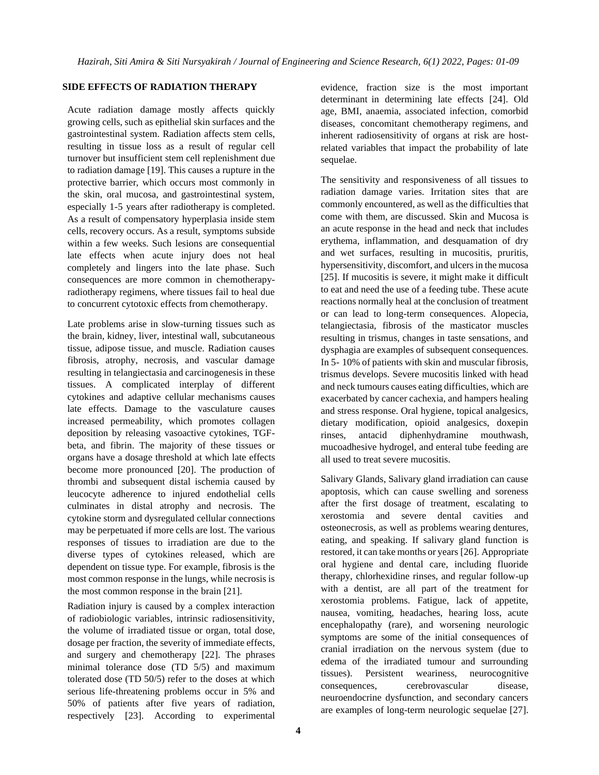### **SIDE EFFECTS OF RADIATION THERAPY**

Acute radiation damage mostly affects quickly growing cells, such as epithelial skin surfaces and the gastrointestinal system. Radiation affects stem cells, resulting in tissue loss as a result of regular cell turnover but insufficient stem cell replenishment due to radiation damage [19]. This causes a rupture in the protective barrier, which occurs most commonly in the skin, oral mucosa, and gastrointestinal system, especially 1-5 years after radiotherapy is completed. As a result of compensatory hyperplasia inside stem cells, recovery occurs. As a result, symptoms subside within a few weeks. Such lesions are consequential late effects when acute injury does not heal completely and lingers into the late phase. Such consequences are more common in chemotherapyradiotherapy regimens, where tissues fail to heal due to concurrent cytotoxic effects from chemotherapy.

Late problems arise in slow-turning tissues such as the brain, kidney, liver, intestinal wall, subcutaneous tissue, adipose tissue, and muscle. Radiation causes fibrosis, atrophy, necrosis, and vascular damage resulting in telangiectasia and carcinogenesis in these tissues. A complicated interplay of different cytokines and adaptive cellular mechanisms causes late effects. Damage to the vasculature causes increased permeability, which promotes collagen deposition by releasing vasoactive cytokines, TGFbeta, and fibrin. The majority of these tissues or organs have a dosage threshold at which late effects become more pronounced [20]. The production of thrombi and subsequent distal ischemia caused by leucocyte adherence to injured endothelial cells culminates in distal atrophy and necrosis. The cytokine storm and dysregulated cellular connections may be perpetuated if more cells are lost. The various responses of tissues to irradiation are due to the diverse types of cytokines released, which are dependent on tissue type. For example, fibrosis is the most common response in the lungs, while necrosis is the most common response in the brain [21].

Radiation injury is caused by a complex interaction of radiobiologic variables, intrinsic radiosensitivity, the volume of irradiated tissue or organ, total dose, dosage per fraction, the severity of immediate effects, and surgery and chemotherapy [22]. The phrases minimal tolerance dose (TD 5/5) and maximum tolerated dose (TD 50/5) refer to the doses at which serious life-threatening problems occur in 5% and 50% of patients after five years of radiation, respectively [23]. According to experimental

evidence, fraction size is the most important determinant in determining late effects [24]. Old age, BMI, anaemia, associated infection, comorbid diseases, concomitant chemotherapy regimens, and inherent radiosensitivity of organs at risk are hostrelated variables that impact the probability of late sequelae.

The sensitivity and responsiveness of all tissues to radiation damage varies. Irritation sites that are commonly encountered, as well as the difficulties that come with them, are discussed. Skin and Mucosa is an acute response in the head and neck that includes erythema, inflammation, and desquamation of dry and wet surfaces, resulting in mucositis, pruritis, hypersensitivity, discomfort, and ulcers in the mucosa [25]. If mucositis is severe, it might make it difficult to eat and need the use of a feeding tube. These acute reactions normally heal at the conclusion of treatment or can lead to long-term consequences. Alopecia, telangiectasia, fibrosis of the masticator muscles resulting in trismus, changes in taste sensations, and dysphagia are examples of subsequent consequences. In 5- 10% of patients with skin and muscular fibrosis, trismus develops. Severe mucositis linked with head and neck tumours causes eating difficulties, which are exacerbated by cancer cachexia, and hampers healing and stress response. Oral hygiene, topical analgesics, dietary modification, opioid analgesics, doxepin rinses, antacid diphenhydramine mouthwash, mucoadhesive hydrogel, and enteral tube feeding are all used to treat severe mucositis.

Salivary Glands, Salivary gland irradiation can cause apoptosis, which can cause swelling and soreness after the first dosage of treatment, escalating to xerostomia and severe dental cavities and osteonecrosis, as well as problems wearing dentures, eating, and speaking. If salivary gland function is restored, it can take months or years [26]. Appropriate oral hygiene and dental care, including fluoride therapy, chlorhexidine rinses, and regular follow-up with a dentist, are all part of the treatment for xerostomia problems. Fatigue, lack of appetite, nausea, vomiting, headaches, hearing loss, acute encephalopathy (rare), and worsening neurologic symptoms are some of the initial consequences of cranial irradiation on the nervous system (due to edema of the irradiated tumour and surrounding tissues). Persistent weariness, neurocognitive consequences, cerebrovascular disease, neuroendocrine dysfunction, and secondary cancers are examples of long-term neurologic sequelae [27].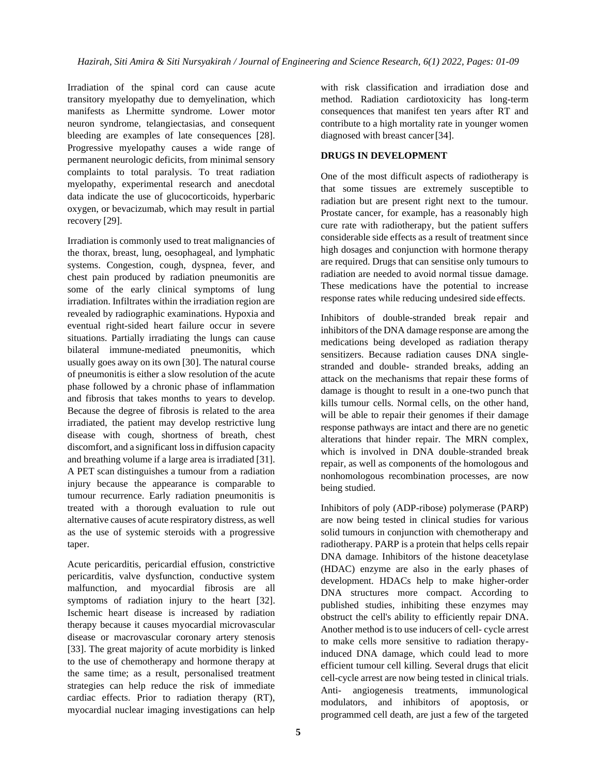Irradiation of the spinal cord can cause acute transitory myelopathy due to demyelination, which manifests as Lhermitte syndrome. Lower motor neuron syndrome, telangiectasias, and consequent bleeding are examples of late consequences [28]. Progressive myelopathy causes a wide range of permanent neurologic deficits, from minimal sensory complaints to total paralysis. To treat radiation myelopathy, experimental research and anecdotal data indicate the use of glucocorticoids, hyperbaric oxygen, or bevacizumab, which may result in partial recovery [29].

Irradiation is commonly used to treat malignancies of the thorax, breast, lung, oesophageal, and lymphatic systems. Congestion, cough, dyspnea, fever, and chest pain produced by radiation pneumonitis are some of the early clinical symptoms of lung irradiation. Infiltrates within the irradiation region are revealed by radiographic examinations. Hypoxia and eventual right-sided heart failure occur in severe situations. Partially irradiating the lungs can cause bilateral immune-mediated pneumonitis, which usually goes away on its own [30]. The natural course of pneumonitis is either a slow resolution of the acute phase followed by a chronic phase of inflammation and fibrosis that takes months to years to develop. Because the degree of fibrosis is related to the area irradiated, the patient may develop restrictive lung disease with cough, shortness of breath, chest discomfort, and a significant loss in diffusion capacity and breathing volume if a large area is irradiated [31]. A PET scan distinguishes a tumour from a radiation injury because the appearance is comparable to tumour recurrence. Early radiation pneumonitis is treated with a thorough evaluation to rule out alternative causes of acute respiratory distress, as well as the use of systemic steroids with a progressive taper.

Acute pericarditis, pericardial effusion, constrictive pericarditis, valve dysfunction, conductive system malfunction, and myocardial fibrosis are all symptoms of radiation injury to the heart [32]. Ischemic heart disease is increased by radiation therapy because it causes myocardial microvascular disease or macrovascular coronary artery stenosis [33]. The great majority of acute morbidity is linked to the use of chemotherapy and hormone therapy at the same time; as a result, personalised treatment strategies can help reduce the risk of immediate cardiac effects. Prior to radiation therapy (RT), myocardial nuclear imaging investigations can help

with risk classification and irradiation dose and method. Radiation cardiotoxicity has long-term consequences that manifest ten years after RT and contribute to a high mortality rate in younger women diagnosed with breast cancer[34].

## **DRUGS IN DEVELOPMENT**

One of the most difficult aspects of radiotherapy is that some tissues are extremely susceptible to radiation but are present right next to the tumour. Prostate cancer, for example, has a reasonably high cure rate with radiotherapy, but the patient suffers considerable side effects as a result of treatment since high dosages and conjunction with hormone therapy are required. Drugs that can sensitise only tumours to radiation are needed to avoid normal tissue damage. These medications have the potential to increase response rates while reducing undesired side effects.

Inhibitors of double-stranded break repair and inhibitors of the DNA damage response are among the medications being developed as radiation therapy sensitizers. Because radiation causes DNA singlestranded and double- stranded breaks, adding an attack on the mechanisms that repair these forms of damage is thought to result in a one-two punch that kills tumour cells. Normal cells, on the other hand, will be able to repair their genomes if their damage response pathways are intact and there are no genetic alterations that hinder repair. The MRN complex, which is involved in DNA double-stranded break repair, as well as components of the homologous and nonhomologous recombination processes, are now being studied.

Inhibitors of poly (ADP-ribose) polymerase (PARP) are now being tested in clinical studies for various solid tumours in conjunction with chemotherapy and radiotherapy. PARP is a protein that helps cells repair DNA damage. Inhibitors of the histone deacetylase (HDAC) enzyme are also in the early phases of development. HDACs help to make higher-order DNA structures more compact. According to published studies, inhibiting these enzymes may obstruct the cell's ability to efficiently repair DNA. Another method is to use inducers of cell- cycle arrest to make cells more sensitive to radiation therapyinduced DNA damage, which could lead to more efficient tumour cell killing. Several drugs that elicit cell-cycle arrest are now being tested in clinical trials. Anti- angiogenesis treatments, immunological modulators, and inhibitors of apoptosis, or programmed cell death, are just a few of the targeted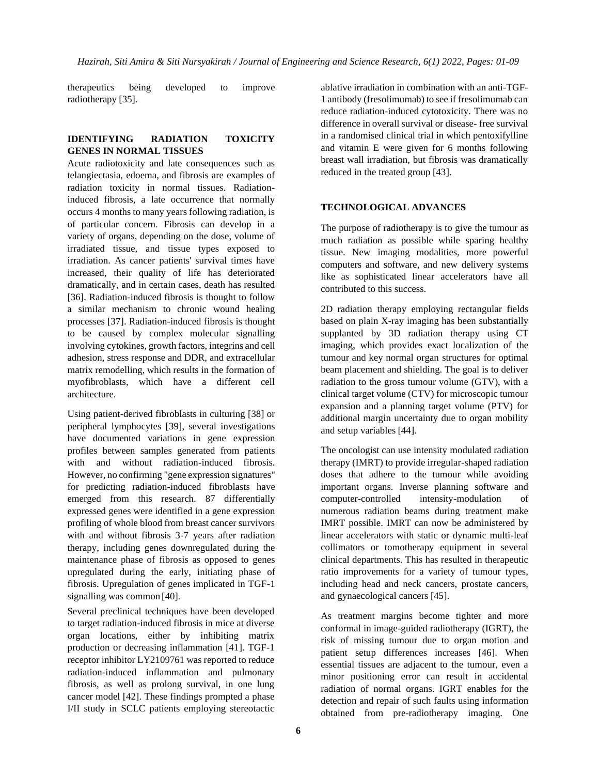therapeutics being developed to improve radiotherapy [35].

### **IDENTIFYING RADIATION TOXICITY GENES IN NORMAL TISSUES**

Acute radiotoxicity and late consequences such as telangiectasia, edoema, and fibrosis are examples of radiation toxicity in normal tissues. Radiationinduced fibrosis, a late occurrence that normally occurs 4 months to many years following radiation, is of particular concern. Fibrosis can develop in a variety of organs, depending on the dose, volume of irradiated tissue, and tissue types exposed to irradiation. As cancer patients' survival times have increased, their quality of life has deteriorated dramatically, and in certain cases, death has resulted [36]. Radiation-induced fibrosis is thought to follow a similar mechanism to chronic wound healing processes [37]. Radiation-induced fibrosis is thought to be caused by complex molecular signalling involving cytokines, growth factors, integrins and cell adhesion, stress response and DDR, and extracellular matrix remodelling, which results in the formation of myofibroblasts, which have a different cell architecture.

Using patient-derived fibroblasts in culturing [38] or peripheral lymphocytes [39], several investigations have documented variations in gene expression profiles between samples generated from patients with and without radiation-induced fibrosis. However, no confirming "gene expression signatures" for predicting radiation-induced fibroblasts have emerged from this research. 87 differentially expressed genes were identified in a gene expression profiling of whole blood from breast cancer survivors with and without fibrosis 3-7 years after radiation therapy, including genes downregulated during the maintenance phase of fibrosis as opposed to genes upregulated during the early, initiating phase of fibrosis. Upregulation of genes implicated in TGF-1 signalling was common [40].

Several preclinical techniques have been developed to target radiation-induced fibrosis in mice at diverse organ locations, either by inhibiting matrix production or decreasing inflammation [41]. TGF-1 receptor inhibitor LY2109761 was reported to reduce radiation-induced inflammation and pulmonary fibrosis, as well as prolong survival, in one lung cancer model [42]. These findings prompted a phase I/II study in SCLC patients employing stereotactic ablative irradiation in combination with an anti-TGF-1 antibody (fresolimumab) to see if fresolimumab can reduce radiation-induced cytotoxicity. There was no difference in overall survival or disease- free survival in a randomised clinical trial in which pentoxifylline and vitamin E were given for 6 months following breast wall irradiation, but fibrosis was dramatically reduced in the treated group [43].

### **TECHNOLOGICAL ADVANCES**

The purpose of radiotherapy is to give the tumour as much radiation as possible while sparing healthy tissue. New imaging modalities, more powerful computers and software, and new delivery systems like as sophisticated linear accelerators have all contributed to this success.

2D radiation therapy employing rectangular fields based on plain X-ray imaging has been substantially supplanted by 3D radiation therapy using CT imaging, which provides exact localization of the tumour and key normal organ structures for optimal beam placement and shielding. The goal is to deliver radiation to the gross tumour volume (GTV), with a clinical target volume (CTV) for microscopic tumour expansion and a planning target volume (PTV) for additional margin uncertainty due to organ mobility and setup variables [44].

The oncologist can use intensity modulated radiation therapy (IMRT) to provide irregular-shaped radiation doses that adhere to the tumour while avoiding important organs. Inverse planning software and computer-controlled intensity-modulation of numerous radiation beams during treatment make IMRT possible. IMRT can now be administered by linear accelerators with static or dynamic multi-leaf collimators or tomotherapy equipment in several clinical departments. This has resulted in therapeutic ratio improvements for a variety of tumour types, including head and neck cancers, prostate cancers, and gynaecological cancers [45].

As treatment margins become tighter and more conformal in image-guided radiotherapy (IGRT), the risk of missing tumour due to organ motion and patient setup differences increases [46]. When essential tissues are adjacent to the tumour, even a minor positioning error can result in accidental radiation of normal organs. IGRT enables for the detection and repair of such faults using information obtained from pre-radiotherapy imaging. One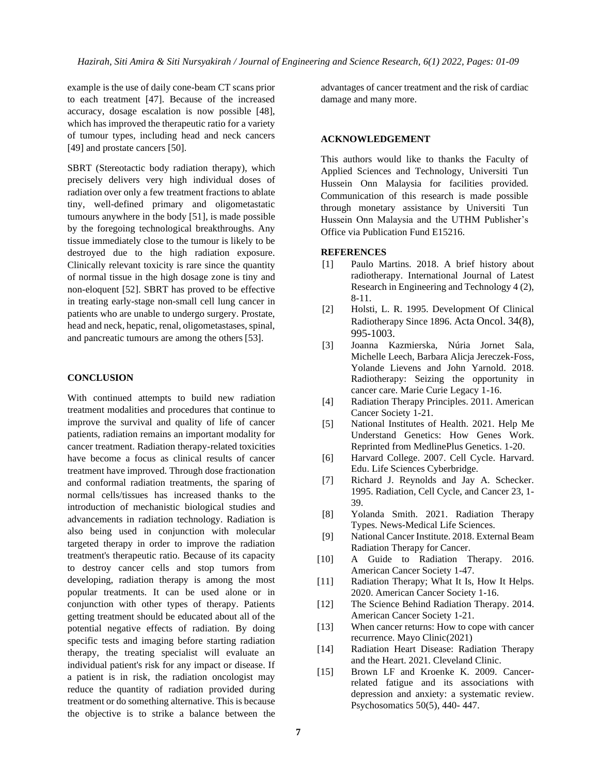example is the use of daily cone-beam CT scans prior to each treatment [47]. Because of the increased accuracy, dosage escalation is now possible [48], which has improved the therapeutic ratio for a variety of tumour types, including head and neck cancers [49] and prostate cancers [50].

SBRT (Stereotactic body radiation therapy), which precisely delivers very high individual doses of radiation over only a few treatment fractions to ablate tiny, well-defined primary and oligometastatic tumours anywhere in the body [51], is made possible by the foregoing technological breakthroughs. Any tissue immediately close to the tumour is likely to be destroyed due to the high radiation exposure. Clinically relevant toxicity is rare since the quantity of normal tissue in the high dosage zone is tiny and non-eloquent [52]. SBRT has proved to be effective in treating early-stage non-small cell lung cancer in patients who are unable to undergo surgery. Prostate, head and neck, hepatic, renal, oligometastases, spinal, and pancreatic tumours are among the others [53].

### **CONCLUSION**

With continued attempts to build new radiation treatment modalities and procedures that continue to improve the survival and quality of life of cancer patients, radiation remains an important modality for cancer treatment. Radiation therapy-related toxicities have become a focus as clinical results of cancer treatment have improved. Through dose fractionation and conformal radiation treatments, the sparing of normal cells/tissues has increased thanks to the introduction of mechanistic biological studies and advancements in radiation technology. Radiation is also being used in conjunction with molecular targeted therapy in order to improve the radiation treatment's therapeutic ratio. Because of its capacity to destroy cancer cells and stop tumors from developing, radiation therapy is among the most popular treatments. It can be used alone or in conjunction with other types of therapy. Patients getting treatment should be educated about all of the potential negative effects of radiation. By doing specific tests and imaging before starting radiation therapy, the treating specialist will evaluate an individual patient's risk for any impact or disease. If a patient is in risk, the radiation oncologist may reduce the quantity of radiation provided during treatment or do something alternative. This is because the objective is to strike a balance between the

advantages of cancer treatment and the risk of cardiac damage and many more.

#### **ACKNOWLEDGEMENT**

This authors would like to thanks the Faculty of Applied Sciences and Technology, Universiti Tun Hussein Onn Malaysia for facilities provided. Communication of this research is made possible through monetary assistance by Universiti Tun Hussein Onn Malaysia and the UTHM Publisher's Office via Publication Fund E15216.

#### **REFERENCES**

- [1] Paulo Martins. 2018. A brief history about radiotherapy. International Journal of Latest Research in Engineering and Technology 4 (2), 8-11.
- [2] Holsti, L. R. 1995. Development Of Clinical Radiotherapy Since 1896. Acta Oncol. 34(8), 995-1003.
- [3] Joanna Kazmierska, Núria Jornet Sala, Michelle Leech, Barbara Alicja Jereczek-Foss, Yolande Lievens and John Yarnold. 2018. Radiotherapy: Seizing the opportunity in cancer care. Marie Curie Legacy 1-16.
- [4] Radiation Therapy Principles. 2011. American Cancer Society 1-21.
- [5] National Institutes of Health. 2021. Help Me Understand Genetics: How Genes Work. Reprinted from MedlinePlus Genetics. 1-20.
- [6] Harvard College. 2007. Cell Cycle. Harvard. Edu. Life Sciences Cyberbridge.
- [7] Richard J. Reynolds and Jay A. Schecker. 1995. Radiation, Cell Cycle, and Cancer 23, 1- 39.
- [8] Yolanda Smith. 2021. Radiation Therapy Types. News-Medical Life Sciences.
- [9] National Cancer Institute. 2018. External Beam Radiation Therapy for Cancer.
- [10] A Guide to Radiation Therapy. 2016. American Cancer Society 1-47.
- [11] Radiation Therapy; What It Is, How It Helps. 2020. American Cancer Society 1-16.
- [12] The Science Behind Radiation Therapy. 2014. American Cancer Society 1-21.
- [13] When cancer returns: How to cope with cancer recurrence. Mayo Clinic(2021)
- [14] Radiation Heart Disease: Radiation Therapy and the Heart. 2021. Cleveland Clinic.
- [15] Brown LF and Kroenke K. 2009. Cancerrelated fatigue and its associations with depression and anxiety: a systematic review. Psychosomatics 50(5), 440- 447.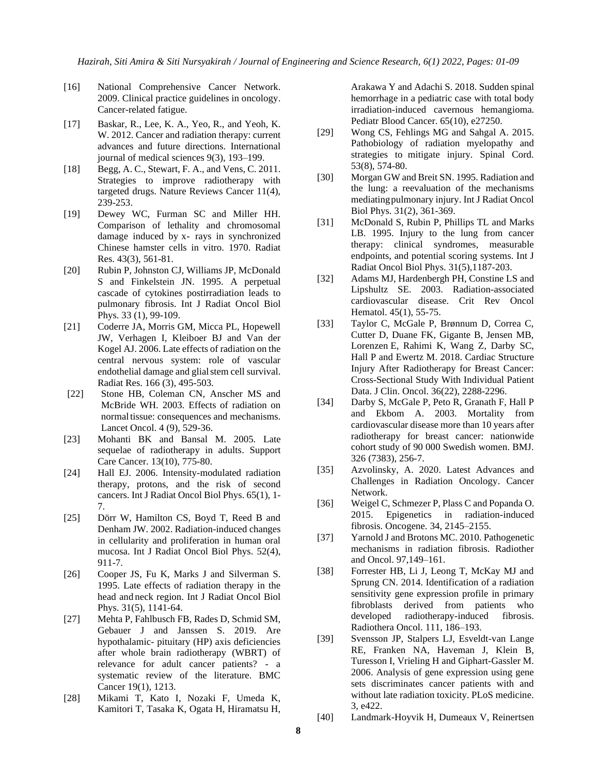- [16] National Comprehensive Cancer Network. 2009. Clinical practice guidelines in oncology. Cancer-related fatigue.
- [17] Baskar, R., Lee, K. A., Yeo, R., and Yeoh, K. W. 2012. Cancer and radiation therapy: current advances and future directions. International journal of medical sciences 9(3), 193–199.
- [18] Begg, A. C., Stewart, F. A., and Vens, C. 2011. Strategies to improve radiotherapy with targeted drugs. Nature Reviews Cancer 11(4), 239-253.
- [19] Dewey WC, Furman SC and Miller HH. Comparison of lethality and chromosomal damage induced by x- rays in synchronized Chinese hamster cells in vitro. 1970. Radiat Res. 43(3), 561-81.
- [20] Rubin P, Johnston CJ, Williams JP, McDonald S and Finkelstein JN. 1995. A perpetual cascade of cytokines postirradiation leads to pulmonary fibrosis. Int J Radiat Oncol Biol Phys. 33 (1), 99-109.
- [21] Coderre JA, Morris GM, Micca PL, Hopewell JW, Verhagen I, Kleiboer BJ and Van der Kogel AJ. 2006. Late effects of radiation on the central nervous system: role of vascular endothelial damage and glialstem cell survival. Radiat Res. 166 (3), 495-503.
- [22] Stone HB, Coleman CN, Anscher MS and McBride WH. 2003. Effects of radiation on normal tissue: consequences and mechanisms. Lancet Oncol. 4 (9), 529-36.
- [23] Mohanti BK and Bansal M. 2005. Late sequelae of radiotherapy in adults. Support Care Cancer. 13(10), 775-80.
- [24] Hall EJ. 2006. Intensity-modulated radiation therapy, protons, and the risk of second cancers. Int J Radiat Oncol Biol Phys. 65(1), 1- 7.
- [25] Dörr W, Hamilton CS, Boyd T, Reed B and Denham JW. 2002. Radiation-induced changes in cellularity and proliferation in human oral mucosa. Int J Radiat Oncol Biol Phys. 52(4), 911-7.
- [26] Cooper JS, Fu K, Marks J and Silverman S. 1995. Late effects of radiation therapy in the head and neck region. Int J Radiat Oncol Biol Phys. 31(5), 1141-64.
- [27] Mehta P, Fahlbusch FB, Rades D, Schmid SM, Gebauer J and Janssen S. 2019. Are hypothalamic- pituitary (HP) axis deficiencies after whole brain radiotherapy (WBRT) of relevance for adult cancer patients? - a systematic review of the literature. BMC Cancer 19(1), 1213.
- [28] Mikami T, Kato I, Nozaki F, Umeda K, Kamitori T, Tasaka K, Ogata H, Hiramatsu H,

Arakawa Y and Adachi S. 2018. Sudden spinal hemorrhage in a pediatric case with total body irradiation-induced cavernous hemangioma. Pediatr Blood Cancer. 65(10), e27250.

- [29] Wong CS, Fehlings MG and Sahgal A. 2015. Pathobiology of radiation myelopathy and strategies to mitigate injury. Spinal Cord. 53(8), 574-80.
- [30] Morgan GW and Breit SN. 1995. Radiation and the lung: a reevaluation of the mechanisms mediatingpulmonary injury. Int J Radiat Oncol Biol Phys. 31(2), 361-369.
- [31] McDonald S, Rubin P, Phillips TL and Marks LB. 1995. Injury to the lung from cancer therapy: clinical syndromes, measurable endpoints, and potential scoring systems. Int J Radiat Oncol Biol Phys. 31(5),1187-203.
- [32] Adams MJ, Hardenbergh PH, Constine LS and Lipshultz SE. 2003. Radiation-associated cardiovascular disease. Crit Rev Oncol Hematol. 45(1), 55-75.
- [33] Taylor C, McGale P, Brønnum D, Correa C, Cutter D, Duane FK, Gigante B, Jensen MB, Lorenzen E, Rahimi K, Wang Z, Darby SC, Hall P and Ewertz M. 2018. Cardiac Structure Injury After Radiotherapy for Breast Cancer: Cross-Sectional Study With Individual Patient Data. J Clin. Oncol. 36(22), 2288-2296.
- [34] Darby S, McGale P, Peto R, Granath F, Hall P and Ekbom A. 2003. Mortality from cardiovascular disease more than 10 years after radiotherapy for breast cancer: nationwide cohort study of 90 000 Swedish women. BMJ. 326 (7383), 256-7.
- [35] Azvolinsky, A. 2020. Latest Advances and Challenges in Radiation Oncology. Cancer Network.
- [36] Weigel C, Schmezer P, Plass C and Popanda O. 2015. Epigenetics in radiation-induced fibrosis. Oncogene. 34, 2145–2155.
- [37] Yarnold J and Brotons MC. 2010. Pathogenetic mechanisms in radiation fibrosis. Radiother and Oncol. 97,149–161.
- [38] Forrester HB, Li J, Leong T, McKay MJ and Sprung CN. 2014. Identification of a radiation sensitivity gene expression profile in primary fibroblasts derived from patients who developed radiotherapy-induced fibrosis. Radiothera Oncol. 111, 186–193.
- [39] Svensson JP, Stalpers LJ, Esveldt-van Lange RE, Franken NA, Haveman J, Klein B, Turesson I, Vrieling H and Giphart-Gassler M. 2006. Analysis of gene expression using gene sets discriminates cancer patients with and without late radiation toxicity. PLoS medicine. 3, e422.
- [40] Landmark-Hoyvik H, Dumeaux V, Reinertsen